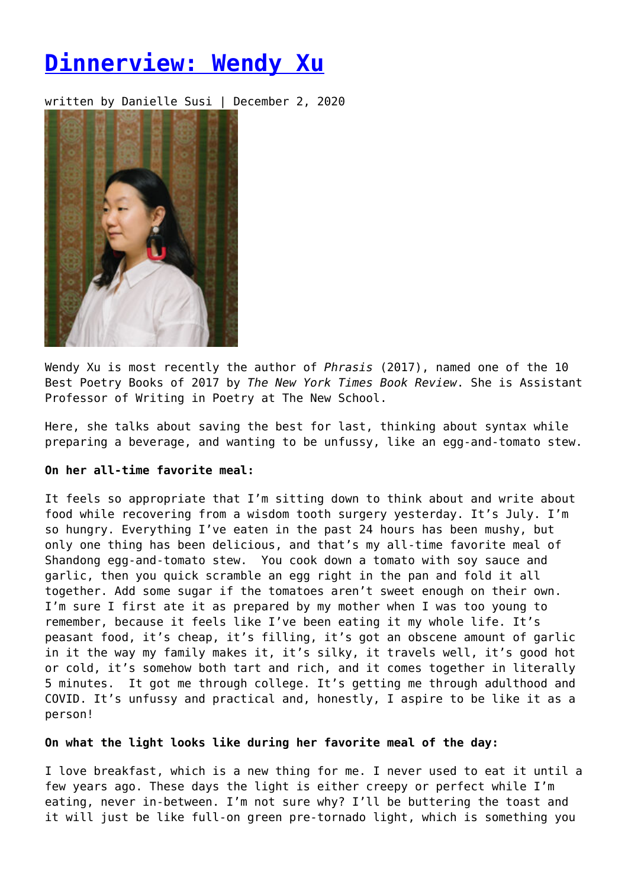# **[Dinnerview: Wendy Xu](https://entropymag.org/dinnerview-wendy-xu/)**

written by Danielle Susi | December 2, 2020



Wendy Xu is most recently the author of *Phrasis* (2017), named one of the 10 Best Poetry Books of 2017 by *The New York Times Book Review*. She is Assistant Professor of Writing in Poetry at The New School.

Here, she talks about saving the best for last, thinking about syntax while preparing a beverage, and wanting to be unfussy, like an egg-and-tomato stew.

# **On her all-time favorite meal:**

It feels so appropriate that I'm sitting down to think about and write about food while recovering from a wisdom tooth surgery yesterday. It's July. I'm so hungry. Everything I've eaten in the past 24 hours has been mushy, but only one thing has been delicious, and that's my all-time favorite meal of Shandong egg-and-tomato stew. You cook down a tomato with soy sauce and garlic, then you quick scramble an egg right in the pan and fold it all together. Add some sugar if the tomatoes aren't sweet enough on their own. I'm sure I first ate it as prepared by my mother when I was too young to remember, because it feels like I've been eating it my whole life. It's peasant food, it's cheap, it's filling, it's got an obscene amount of garlic in it the way my family makes it, it's silky, it travels well, it's good hot or cold, it's somehow both tart and rich, and it comes together in literally 5 minutes. It got me through college. It's getting me through adulthood and COVID. It's unfussy and practical and, honestly, I aspire to be like it as a person!

## **On what the light looks like during her favorite meal of the day:**

I love breakfast, which is a new thing for me. I never used to eat it until a few years ago. These days the light is either creepy or perfect while I'm eating, never in-between. I'm not sure why? I'll be buttering the toast and it will just be like full-on green pre-tornado light, which is something you